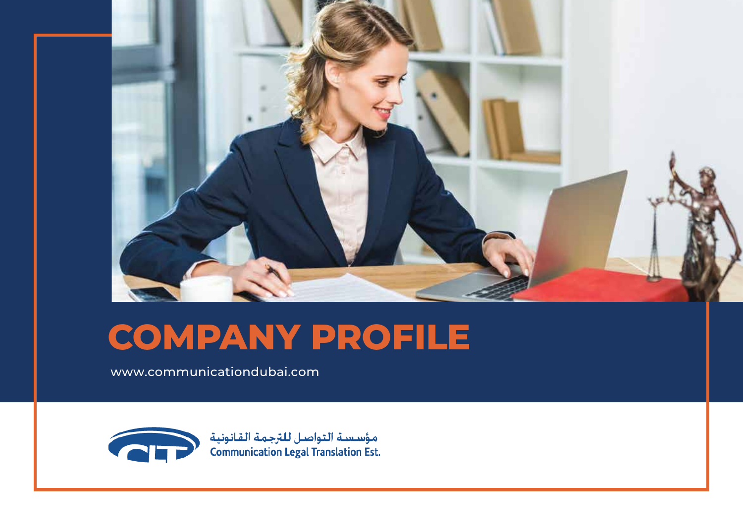

### **COMPANY PROFILE**

[www.communicationdubai.com](https://communicationdubai.com/)



مؤسسة التواصل للترجمة القانونية<br>Communication Legal Translation Est.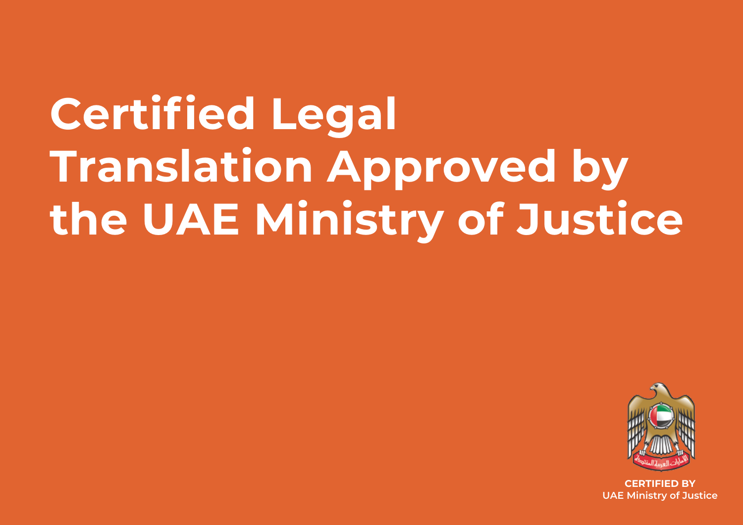# **Certified Legal Translation Approved by the UAE Ministry of Justice**



**CERTIFIED BY UAE Ministry of Justice**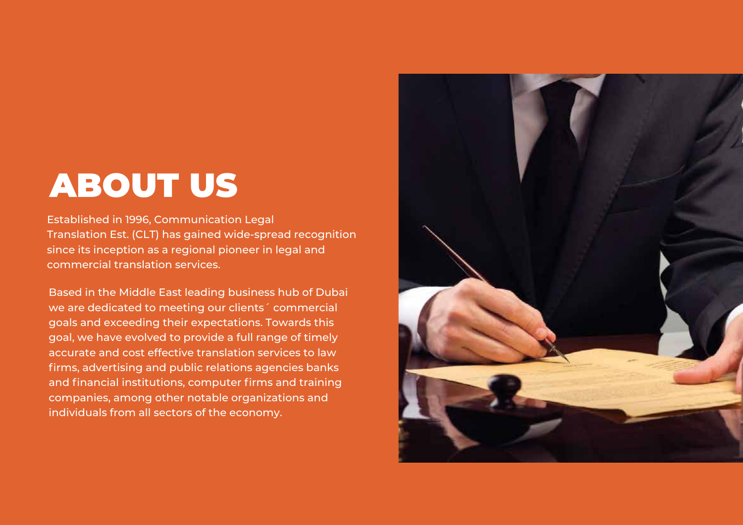### ABOUT US

Established in 1996, Communication Legal Translation Est. (CLT) has gained wide-spread recognition since its inception as a regional pioneer in legal and commercial translation services.

Based in the Middle East leading business hub of Dubai we are dedicated to meeting our clients´ commercial goals and exceeding their expectations. Towards this goal, we have evolved to provide a full range of timely accurate and cost effective translation services to law firms, advertising and public relations agencies banks and financial institutions, computer firms and training companies, among other notable organizations and individuals from all sectors of the economy.

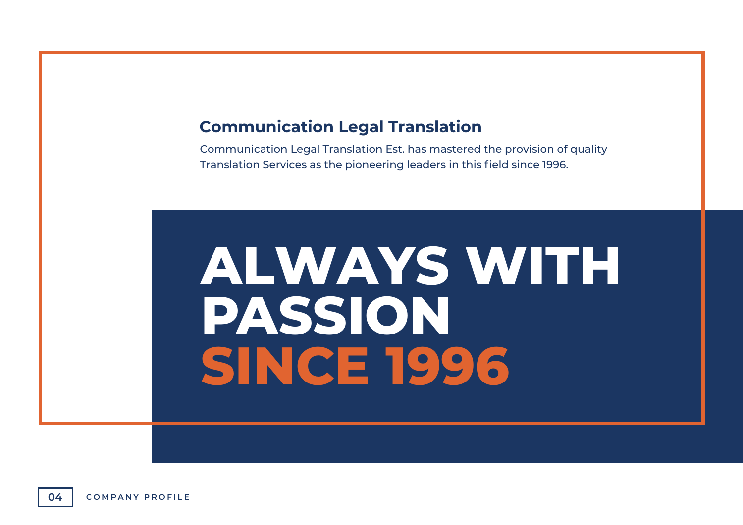#### **Communication Legal Translation**

Communication Legal Translation Est. has mastered the provision of quality Translation Services as the pioneering leaders in this field since 1996.

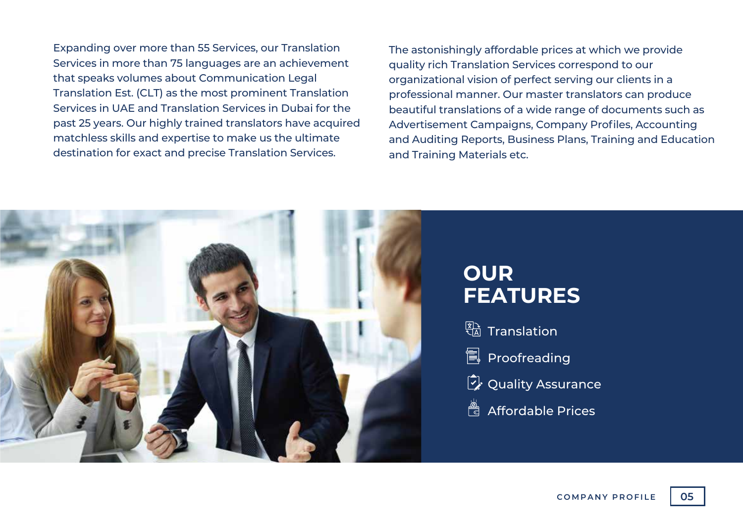Expanding over more than 55 Services, our Translation Services in more than 75 languages are an achievement that speaks volumes about Communication Legal Translation Est. (CLT) as the most prominent Translation Services in UAE and Translation Services in Dubai for the past 25 years. Our highly trained translators have acquired matchless skills and expertise to make us the ultimate destination for exact and precise Translation Services.

The astonishingly affordable prices at which we provide quality rich Translation Services correspond to our organizational vision of perfect serving our clients in a professional manner. Our master translators can produce beautiful translations of a wide range of documents such as Advertisement Campaigns, Company Profiles, Accounting and Auditing Reports, Business Plans, Training and Education and Training Materials etc.

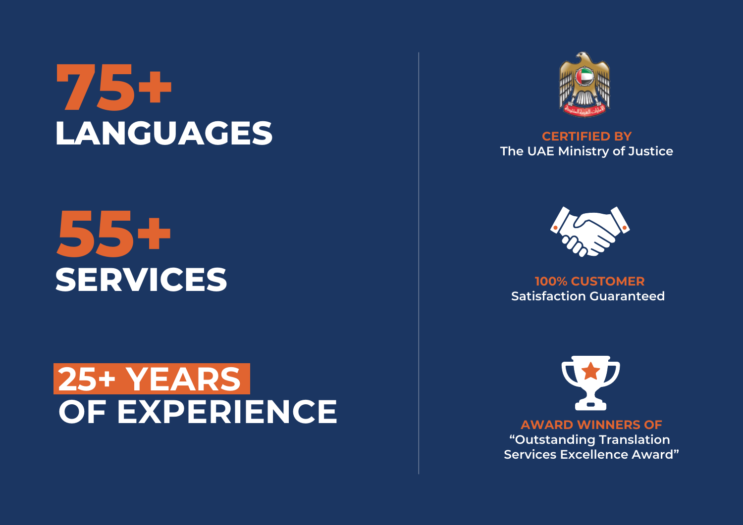## **[75+](https://communicationdubai.com/languages.php) LANGUAGES CERTIFIED BY**

## **[55+](https://communicationdubai.com/translation-services.php) SERVICES**

### **25+ YEARS [OF EXPERIENCE](https://communicationdubai.com/about-us.php)**



**The UAE Ministry of Justice**



**100% CUSTOMER Satisfaction Guaranteed** 



**AWARD WINNERS OF "Outstanding Translation Services Excellence Award"**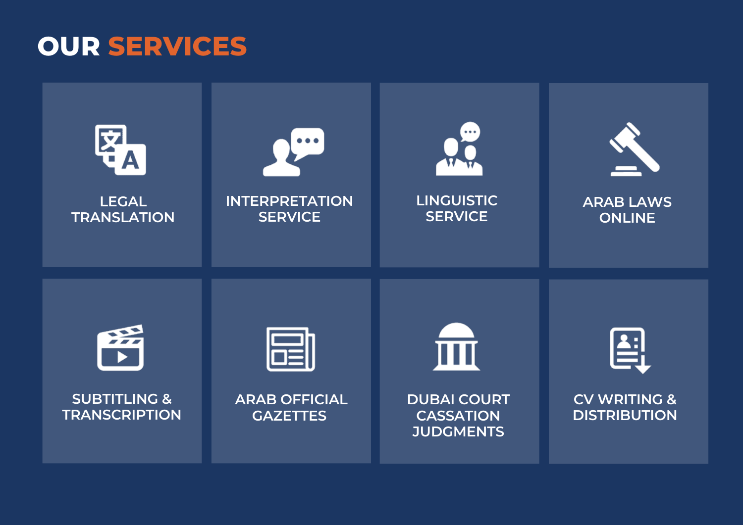#### **OUR SERVICES**

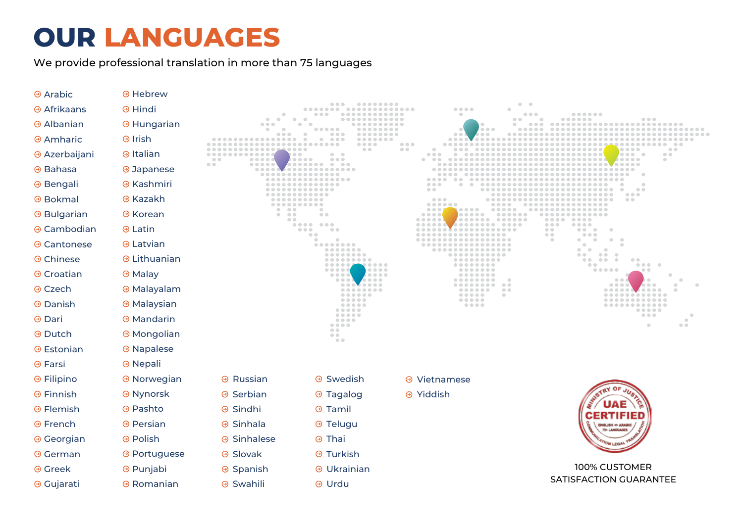#### **OUR LANGUAGES**

We provide professional translation in more than 75 languages

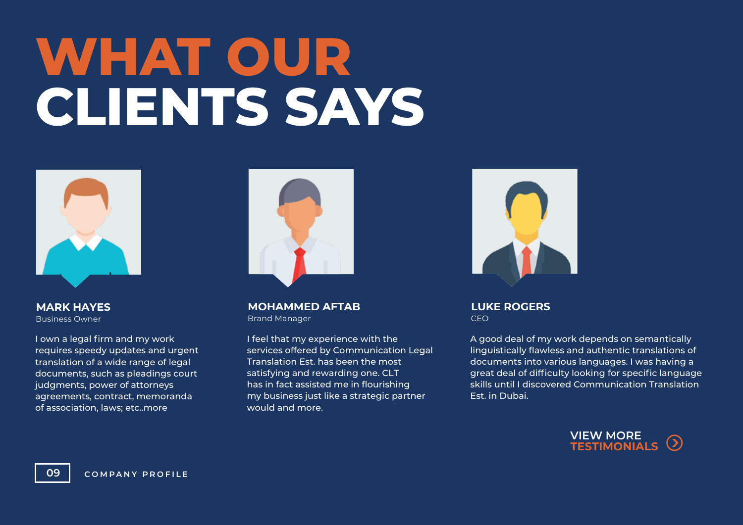# **WHAT OUR CLIENTS SAYS**



**MARK HAYES** Business Owner

I own a legal firm and my work requires speedy updates and urgent translation of a wide range of legal documents, such as pleadings court judgments, power of attorneys agreements, contract, memoranda of association, laws; etc..more



**MOHAMMED AFTAB** Brand Manager

I feel that my experience with the services offered by Communication Legal Translation Est. has been the most satisfying and rewarding one. CLT has in fact assisted me in flourishing my business just like a strategic partner would and more.



**LUKE ROGERS** CEO

A good deal of my work depends on semantically linguistically flawless and authentic translations of documents into various languages. I was having a great deal of difficulty looking for specific language skills until I discovered Communication Translation Est. in Dubai.

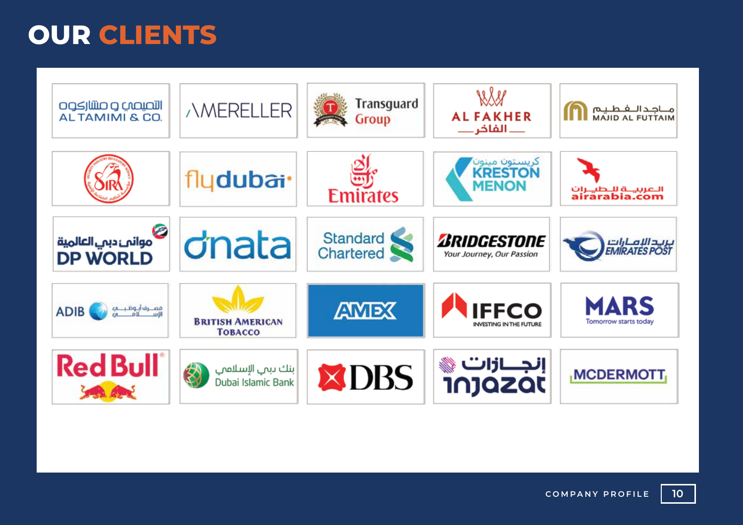#### **OUR CLIENTS**

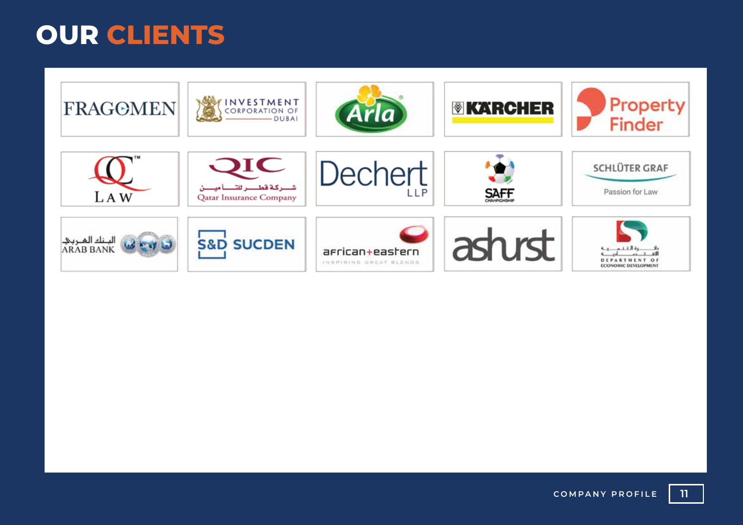#### **OUR CLIENTS**

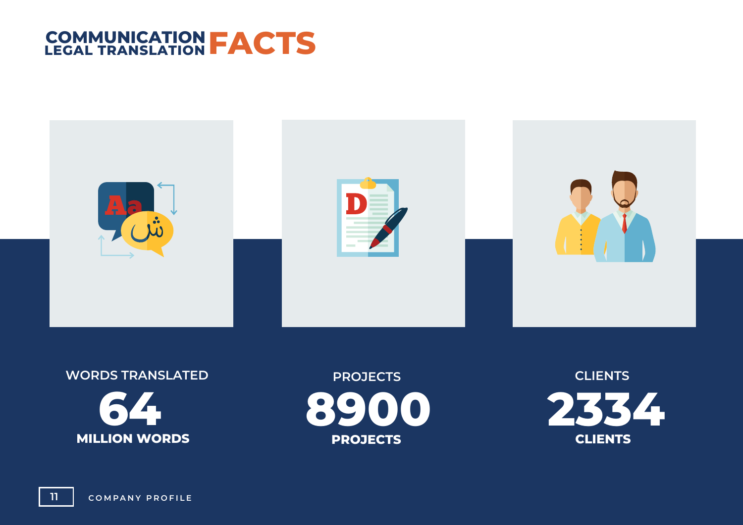



**WORDS TRANSLATED 64 MILLION WORDS**

**PROJECTS 8900 PROJECTS**

**CLIENTS 2334 CLIENTS**